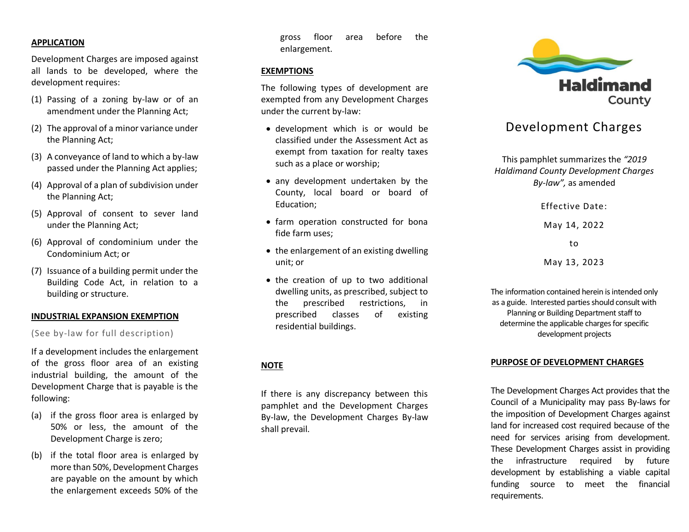## **APPLICATION**

Development Charges are imposed against all lands to be developed, where the development requires:

- (1) Passing of a zoning by-law or of an amendment under the Planning Act;
- (2) The approval of a minor variance under the Planning Act;
- (3) A conveyance of land to which a by-law passed under the Planning Act applies;
- (4) Approval of a plan of subdivision under the Planning Act;
- (5) Approval of consent to sever land under the Planning Act;
- (6) Approval of condominium under the Condominium Act; or
- (7) Issuance of a building permit under the Building Code Act, in relation to a building or structure.

## **INDUSTRIAL EXPANSION EXEMPTION**

(See by-law for full description)

If a development includes the enlargement of the gross floor area of an existing industrial building, the amount of the Development Charge that is payable is the following:

- (a) if the gross floor area is enlarged by 50% or less, the amount of the Development Charge is zero;
- (b) if the total floor area is enlarged by more than 50%, Development Charges are payable on the amount by which the enlargement exceeds 50% of the

gross floor area before the enlargement.

## **EXEMPTIONS**

The following types of development are exempted from any Development Charges under the current by-law:

- development which is or would be classified under the Assessment Act as exempt from taxation for realty taxes such as a place or worship;
- any development undertaken by the County, local board or board of Education;
- farm operation constructed for bona fide farm uses;
- the enlargement of an existing dwelling unit; or
- the creation of up to two additional dwelling units, as prescribed, subject to the prescribed restrictions, in prescribed classes of existing residential buildings.

## **NOTE**

If there is any discrepancy between this pamphlet and the Development Charges By-law, the Development Charges By-law shall prevail.



# Development Charges

This pamphlet summarizes the *"2019 Haldimand County Development Charges By-law",* as amended

Effective Date:

May 14, 2022

to

May 13, 2023

The information contained herein is intended only as a guide. Interested parties should consult with Planning or Building Department staff to determine the applicable charges for specific development projects

## **PURPOSE OF DEVELOPMENT CHARGES**

The Development Charges Act provides that the Council of a Municipality may pass By-laws for the imposition of Development Charges against land for increased cost required because of the need for services arising from development. These Development Charges assist in providing the infrastructure required by future development by establishing a viable capital funding source to meet the financial requirements.